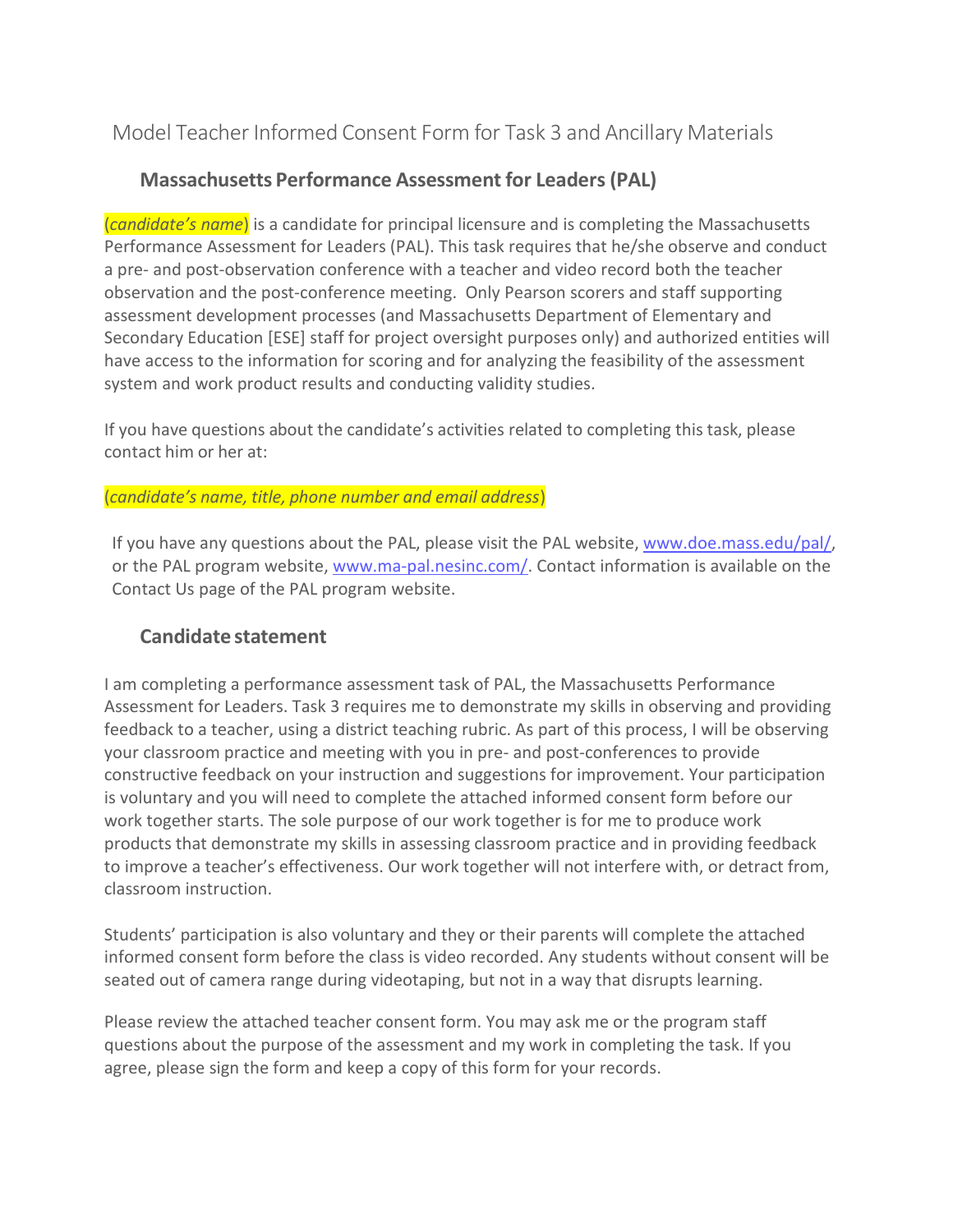# Model Teacher Informed Consent Form for Task 3 and Ancillary Materials

## **Massachusetts Performance Assessment for Leaders(PAL)**

(*candidate's name*) is a candidate for principal licensure and is completing the Massachusetts Performance Assessment for Leaders (PAL). This task requires that he/she observe and conduct a pre- and post-observation conference with a teacher and video record both the teacher observation and the post-conference meeting. Only Pearson scorers and staff supporting assessment development processes (and Massachusetts Department of Elementary and Secondary Education [ESE] staff for project oversight purposes only) and authorized entities will have access to the information for scoring and for analyzing the feasibility of the assessment system and work product results and conducting validity studies.

If you have questions about the candidate's activities related to completing this task, please contact him or her at:

#### (*candidate's name, title, phone number and email address*)

If you have any questions about the PAL, please visit the PAL website, [www.doe.mass.edu/pal/,](http://www.doe.mass.edu/pal/) or the PAL program website, [www.ma-pal.nesinc.com/.](http://www.ma-pal.nesinc.com/) Contact information is available on the Contact Us page of the PAL program website.

### **Candidate statement**

I am completing a performance assessment task of PAL, the Massachusetts Performance Assessment for Leaders. Task 3 requires me to demonstrate my skills in observing and providing feedback to a teacher, using a district teaching rubric. As part of this process, I will be observing your classroom practice and meeting with you in pre- and post-conferences to provide constructive feedback on your instruction and suggestions for improvement. Your participation is voluntary and you will need to complete the attached informed consent form before our work together starts. The sole purpose of our work together is for me to produce work products that demonstrate my skills in assessing classroom practice and in providing feedback to improve a teacher's effectiveness. Our work together will not interfere with, or detract from, classroom instruction.

Students' participation is also voluntary and they or their parents will complete the attached informed consent form before the class is video recorded. Any students without consent will be seated out of camera range during videotaping, but not in a way that disrupts learning.

Please review the attached teacher consent form. You may ask me or the program staff questions about the purpose of the assessment and my work in completing the task. If you agree, please sign the form and keep a copy of this form for your records.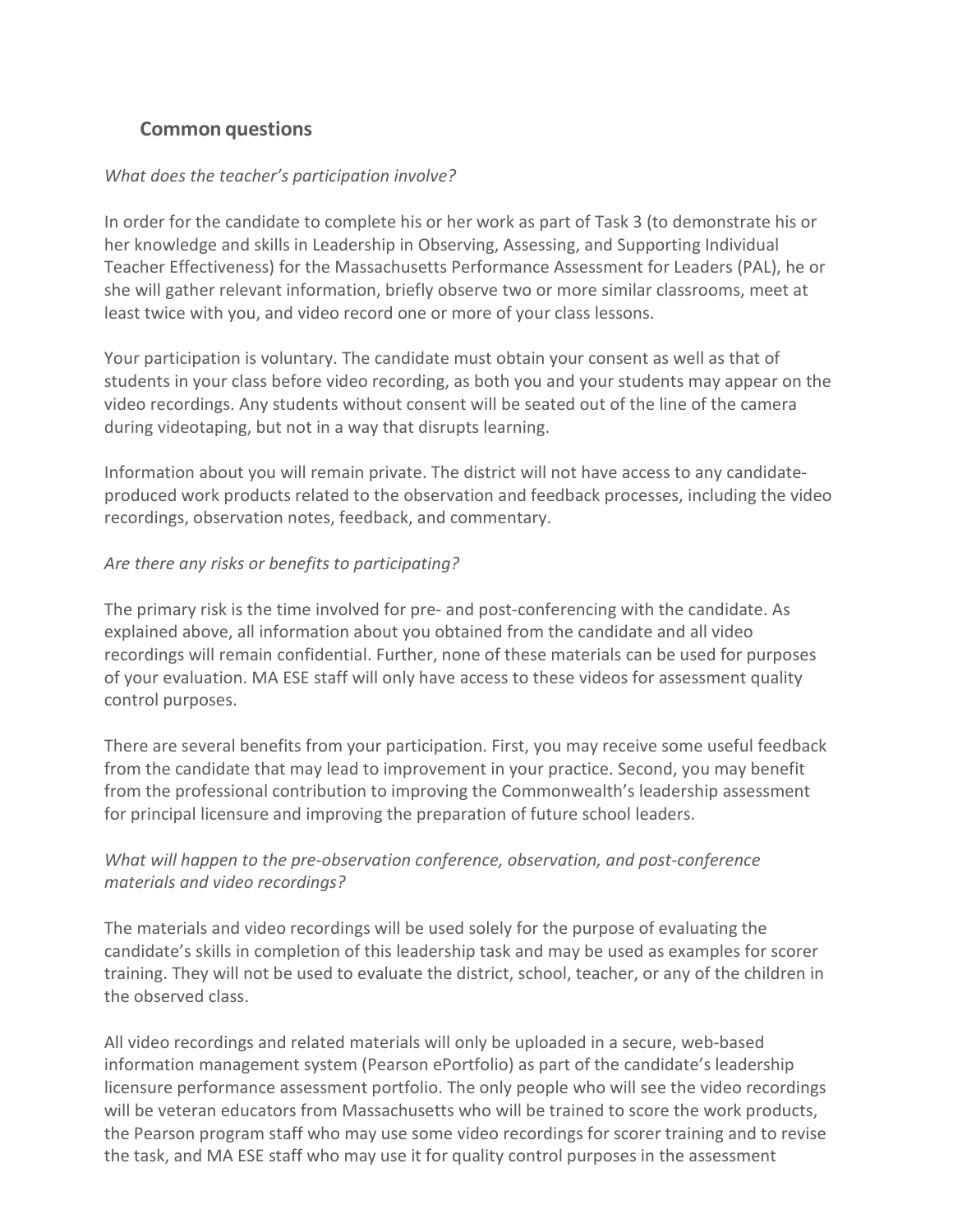# **Common questions**

#### *What does the teacher's participation involve?*

In order for the candidate to complete his or her work as part of Task 3 (to demonstrate his or her knowledge and skills in Leadership in Observing, Assessing, and Supporting Individual Teacher Effectiveness) for the Massachusetts Performance Assessment for Leaders (PAL), he or she will gather relevant information, briefly observe two or more similar classrooms, meet at least twice with you, and video record one or more of your class lessons.

Your participation is voluntary. The candidate must obtain your consent as well as that of students in your class before video recording, as both you and your students may appear on the video recordings. Any students without consent will be seated out of the line of the camera during videotaping, but not in a way that disrupts learning.

Information about you will remain private. The district will not have access to any candidateproduced work products related to the observation and feedback processes, including the video recordings, observation notes, feedback, and commentary.

#### *Are there any risks or benefits to participating?*

The primary risk is the time involved for pre- and post-conferencing with the candidate. As explained above, all information about you obtained from the candidate and all video recordings will remain confidential. Further, none of these materials can be used for purposes of your evaluation. MA ESE staff will only have access to these videos for assessment quality control purposes.

There are several benefits from your participation. First, you may receive some useful feedback from the candidate that may lead to improvement in your practice. Second, you may benefit from the professional contribution to improving the Commonwealth's leadership assessment for principal licensure and improving the preparation of future school leaders.

### *What will happen to the pre-observation conference, observation, and post-conference materials and video recordings?*

The materials and video recordings will be used solely for the purpose of evaluating the candidate's skills in completion of this leadership task and may be used as examples for scorer training. They will not be used to evaluate the district, school, teacher, or any of the children in the observed class.

All video recordings and related materials will only be uploaded in a secure, web-based information management system (Pearson ePortfolio) as part of the candidate's leadership licensure performance assessment portfolio. The only people who will see the video recordings will be veteran educators from Massachusetts who will be trained to score the work products, the Pearson program staff who may use some video recordings for scorer training and to revise the task, and MA ESE staff who may use it for quality control purposes in the assessment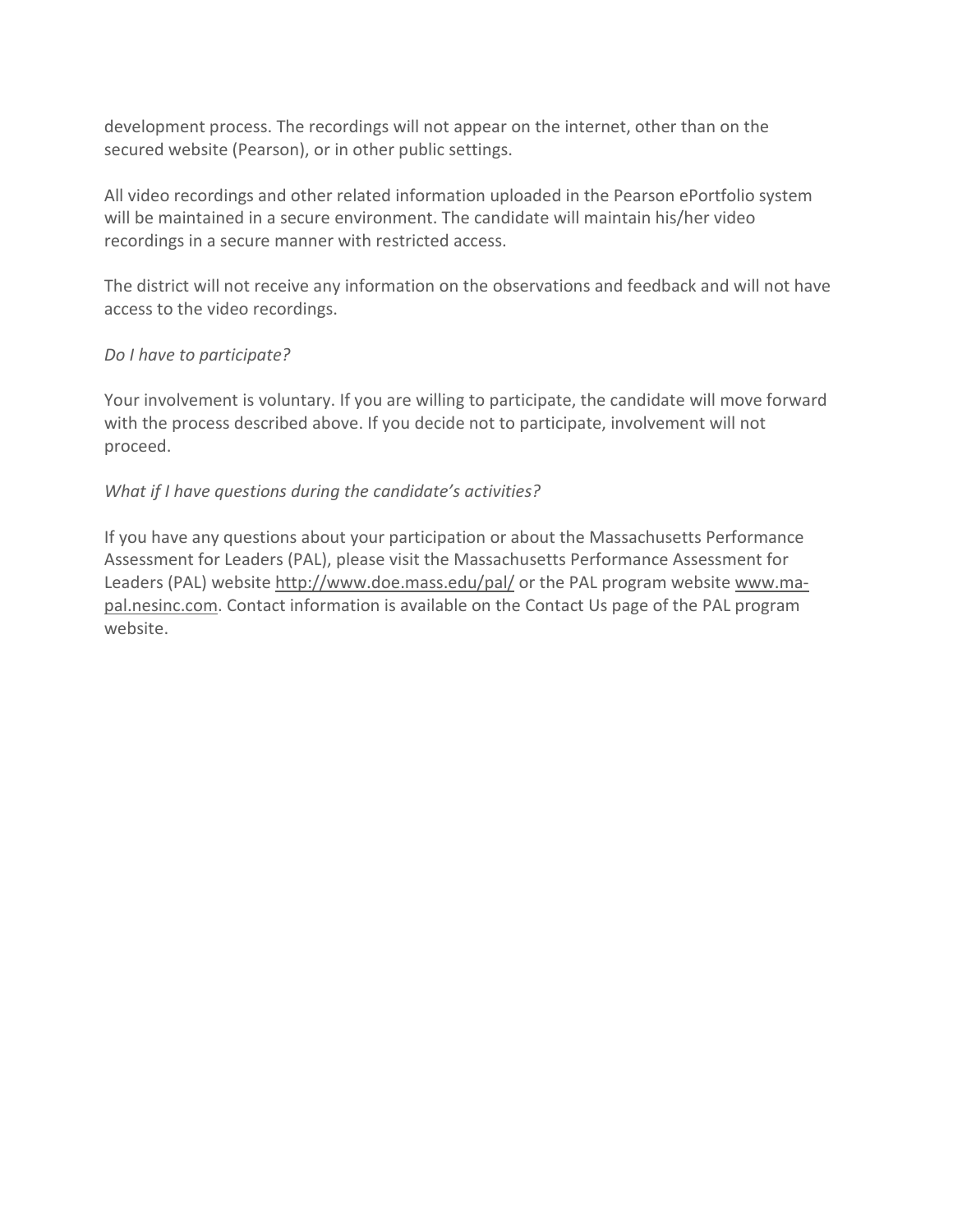development process. The recordings will not appear on the internet, other than on the secured website (Pearson), or in other public settings.

All video recordings and other related information uploaded in the Pearson ePortfolio system will be maintained in a secure environment. The candidate will maintain his/her video recordings in a secure manner with restricted access.

The district will not receive any information on the observations and feedback and will not have access to the video recordings.

#### *Do I have to participate?*

Your involvement is voluntary. If you are willing to participate, the candidate will move forward with the process described above. If you decide not to participate, involvement will not proceed.

#### *What if I have questions during the candidate's activities?*

If you have any questions about your participation or about the Massachusetts Performance Assessment for Leaders (PAL), please visit the Massachusetts Performance Assessment for Leaders (PAL) website<http://www.doe.mass.edu/pal/> or the PAL program website [www.ma](http://www.ma-pal.nesinc.com/)[pal.nesinc.com.](http://www.ma-pal.nesinc.com/) Contact information is available on the Contact Us page of the PAL program website.